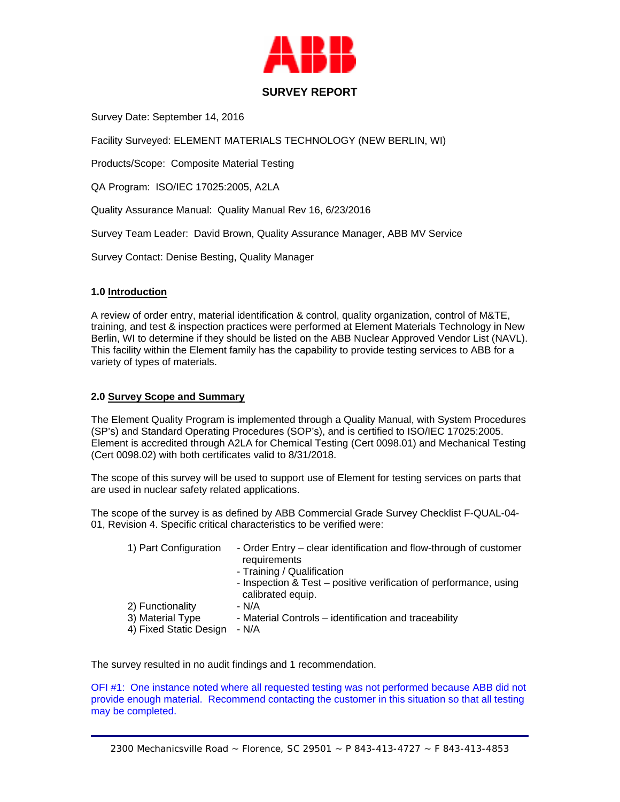

# **SURVEY REPORT**

Survey Date: September 14, 2016

Facility Surveyed: ELEMENT MATERIALS TECHNOLOGY (NEW BERLIN, WI)

Products/Scope: Composite Material Testing

QA Program: ISO/IEC 17025:2005, A2LA

Quality Assurance Manual: Quality Manual Rev 16, 6/23/2016

Survey Team Leader: David Brown, Quality Assurance Manager, ABB MV Service

Survey Contact: Denise Besting, Quality Manager

## **1.0 Introduction**

A review of order entry, material identification & control, quality organization, control of M&TE, training, and test & inspection practices were performed at Element Materials Technology in New Berlin, WI to determine if they should be listed on the ABB Nuclear Approved Vendor List (NAVL). This facility within the Element family has the capability to provide testing services to ABB for a variety of types of materials.

### **2.0 Survey Scope and Summary**

The Element Quality Program is implemented through a Quality Manual, with System Procedures (SP's) and Standard Operating Procedures (SOP's), and is certified to ISO/IEC 17025:2005. Element is accredited through A2LA for Chemical Testing (Cert 0098.01) and Mechanical Testing (Cert 0098.02) with both certificates valid to 8/31/2018.

The scope of this survey will be used to support use of Element for testing services on parts that are used in nuclear safety related applications.

The scope of the survey is as defined by ABB Commercial Grade Survey Checklist F-QUAL-04- 01, Revision 4. Specific critical characteristics to be verified were:

| 1) Part Configuration  | - Order Entry – clear identification and flow-through of customer<br>requirements      |
|------------------------|----------------------------------------------------------------------------------------|
|                        | - Training / Qualification                                                             |
|                        | - Inspection & Test - positive verification of performance, using<br>calibrated equip. |
| 2) Functionality       | - N/A                                                                                  |
| 3) Material Type       | - Material Controls – identification and traceability                                  |
| 4) Fixed Static Design | - N/A                                                                                  |

The survey resulted in no audit findings and 1 recommendation.

OFI #1: One instance noted where all requested testing was not performed because ABB did not provide enough material. Recommend contacting the customer in this situation so that all testing may be completed.